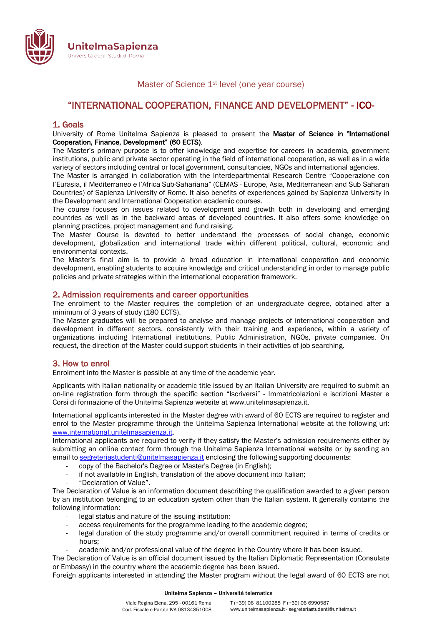

Master of Science 1<sup>st</sup> level (one year course)

# "INTERNATIONAL COOPERATION, FINANCE AND DEVELOPMENT" - ICO-

#### 1. Goals

University of Rome Unitelma Sapienza is pleased to present the Master of Science in "International Cooperation, Finance, Development" (60 ECTS).

The Master's primary purpose is to offer knowledge and expertise for careers in academia, government institutions, public and private sector operating in the field of international cooperation, as well as in a wide variety of sectors including central or local government, consultancies, NGOs and international agencies.

The Master is arranged in collaboration with the Interdepartmental Research Centre "Cooperazione con l'Eurasia, il Mediterraneo e l'Africa Sub-Sahariana" (CEMAS - Europe, Asia, Mediterranean and Sub Saharan Countries) of Sapienza University of Rome. It also benefits of experiences gained by Sapienza University in the Development and International Cooperation academic courses.

The course focuses on issues related to development and growth both in developing and emerging countries as well as in the backward areas of developed countries. It also offers some knowledge on planning practices, project management and fund raising.

The Master Course is devoted to better understand the processes of social change, economic development, globalization and international trade within different political, cultural, economic and environmental contexts.

The Master's final aim is to provide a broad education in international cooperation and economic development, enabling students to acquire knowledge and critical understanding in order to manage public policies and private strategies within the international cooperation framework.

#### 2. Admission requirements and career opportunities

The enrolment to the Master requires the completion of an undergraduate degree, obtained after a minimum of 3 years of study (180 ECTS).

The Master graduates will be prepared to analyse and manage projects of international cooperation and development in different sectors, consistently with their training and experience, within a variety of organizations including International institutions, Public Administration, NGOs, private companies. On request, the direction of the Master could support students in their activities of job searching.

## 3. How to enrol

Enrolment into the Master is possible at any time of the academic year.

Applicants with Italian nationality or academic title issued by an Italian University are required to submit an on-line registration form through the specific section "Iscriversi" - Immatricolazioni e iscrizioni Master e Corsi di formazione of the Unitelma Sapienza website at www.unitelmasapienza.it.

International applicants interested in the Master degree with award of 60 ECTS are required to register and enrol to the Master programme through the Unitelma Sapienza International website at the following url: www.international.unitelmasapienza.it.

International applicants are required to verify if they satisfy the Master's admission requirements either by submitting an online contact form through the Unitelma Sapienza International website or by sending an email to segreteriastudenti@unitelmasapienza.it enclosing the following supporting documents:

- copy of the Bachelor's Degree or Master's Degree (in English);
- if not available in English, translation of the above document into Italian;
- "Declaration of Value".

The Declaration of Value is an information document describing the qualification awarded to a given person by an institution belonging to an education system other than the Italian system. It generally contains the following information:

- legal status and nature of the issuing institution;
- access requirements for the programme leading to the academic degree;
- legal duration of the study programme and/or overall commitment required in terms of credits or hours;
- academic and/or professional value of the degree in the Country where it has been issued.

The Declaration of Value is an official document issued by the Italian Diplomatic Representation (Consulate or Embassy) in the country where the academic degree has been issued.

Foreign applicants interested in attending the Master program without the legal award of 60 ECTS are not

#### Unitelma Sapienza – Università telematica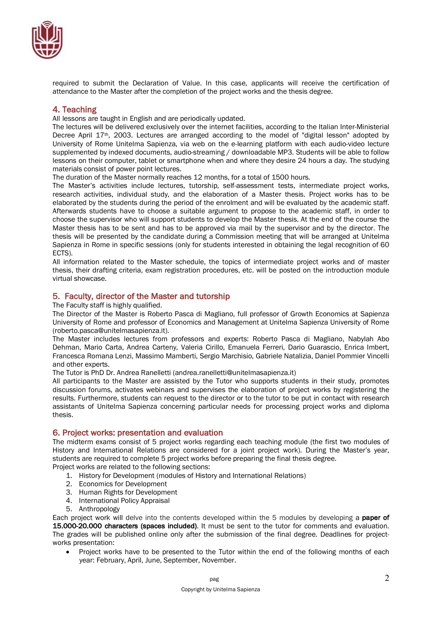

required to submit the Declaration of Value. In this case, applicants will receive the certification of attendance to the Master after the completion of the project works and the thesis degree.

## 4. Teaching

All lessons are taught in English and are periodically updated.

The lectures will be delivered exclusively over the internet facilities, according to the Italian Inter-Ministerial Decree April 17<sup>th</sup>, 2003. Lectures are arranged according to the model of "digital lesson" adopted by University of Rome Unitelma Sapienza, via web on the e-learning platform with each audio-video lecture supplemented by indexed documents, audio-streaming / downloadable MP3. Students will be able to follow lessons on their computer, tablet or smartphone when and where they desire 24 hours a day. The studying materials consist of power point lectures.

The duration of the Master normally reaches 12 months, for a total of 1500 hours.

The Master's activities include lectures, tutorship, self-assessment tests, intermediate project works, research activities, individual study, and the elaboration of a Master thesis. Project works has to be elaborated by the students during the period of the enrolment and will be evaluated by the academic staff. Afterwards students have to choose a suitable argument to propose to the academic staff, in order to choose the supervisor who will support students to develop the Master thesis. At the end of the course the Master thesis has to be sent and has to be approved via mail by the supervisor and by the director. The thesis will be presented by the candidate during a Commission meeting that will be arranged at Unitelma Sapienza in Rome in specific sessions (only for students interested in obtaining the legal recognition of 60 ECTS).

All information related to the Master schedule, the topics of intermediate project works and of master thesis, their drafting criteria, exam registration procedures, etc. will be posted on the introduction module virtual showcase.

## 5. Faculty, director of the Master and tutorship

The Faculty staff is highly qualified.

The Director of the Master is Roberto Pasca di Magliano, full professor of Growth Economics at Sapienza University of Rome and professor of Economics and Management at Unitelma Sapienza University of Rome (roberto.pasca@unitelmasapienza.it).

The Master includes lectures from professors and experts: Roberto Pasca di Magliano, Nabylah Abo Dehman, Mario Carta, Andrea Carteny, Valeria Cirillo, Emanuela Ferreri, Dario Guarascio, Enrica Imbert, Francesca Romana Lenzi, Massimo Mamberti, Sergio Marchisio, Gabriele Natalizia, Daniel Pommier Vincelli and other experts.

The Tutor is PhD Dr. Andrea Ranelletti (andrea.ranelletti@unitelmasapienza.it)

All participants to the Master are assisted by the Tutor who supports students in their study, promotes discussion forums, activates webinars and supervises the elaboration of project works by registering the results. Furthermore, students can request to the director or to the tutor to be put in contact with research assistants of Unitelma Sapienza concerning particular needs for processing project works and diploma thesis.

## 6. Project works: presentation and evaluation

The midterm exams consist of 5 project works regarding each teaching module (the first two modules of History and International Relations are considered for a joint project work). During the Master's year, students are required to complete 5 project works before preparing the final thesis degree.

Project works are related to the following sections:

- 1. History for Development (modules of History and International Relations)
- 2. Economics for Development
- 3. Human Rights for Development
- 4. International Policy Appraisal
- 5. Anthropology

Each project work will delve into the contents developed within the 5 modules by developing a **paper of** 15.000-20.000 characters (spaces included). It must be sent to the tutor for comments and evaluation. The grades will be published online only after the submission of the final degree. Deadlines for projectworks presentation:

• Project works have to be presented to the Tutor within the end of the following months of each year: February, April, June, September, November.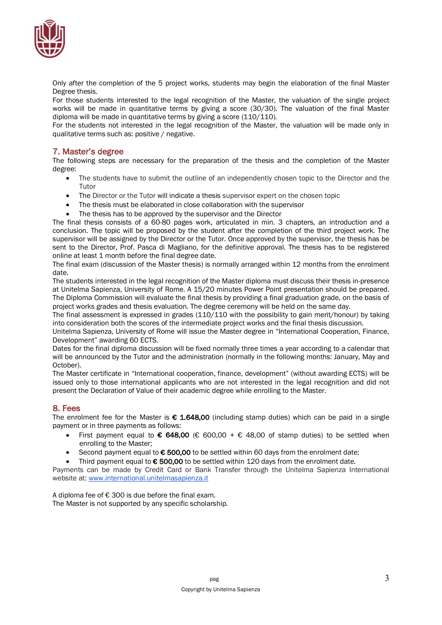

Only after the completion of the 5 project works, students may begin the elaboration of the final Master Degree thesis.

For those students interested to the legal recognition of the Master, the valuation of the single project works will be made in quantitative terms by giving a score (30/30). The valuation of the final Master diploma will be made in quantitative terms by giving a score (110/110).

For the students not interested in the legal recognition of the Master, the valuation will be made only in qualitative terms such as: positive / negative.

## 7. Master's degree

The following steps are necessary for the preparation of the thesis and the completion of the Master degree:

- The students have to submit the outline of an independently chosen topic to the Director and the Tutor
- The Director or the Tutor will indicate a thesis supervisor expert on the chosen topic
- The thesis must be elaborated in close collaboration with the supervisor
- The thesis has to be approved by the supervisor and the Director

The final thesis consists of a 60-80 pages work, articulated in min. 3 chapters, an introduction and a conclusion. The topic will be proposed by the student after the completion of the third project work. The supervisor will be assigned by the Director or the Tutor. Once approved by the supervisor, the thesis has be sent to the Director, Prof. Pasca di Magliano, for the definitive approval. The thesis has to be registered online at least 1 month before the final degree date.

The final exam (discussion of the Master thesis) is normally arranged within 12 months from the enrolment date.

The students interested in the legal recognition of the Master diploma must discuss their thesis in-presence at Unitelma Sapienza, University of Rome. A 15/20 minutes Power Point presentation should be prepared. The Diploma Commission will evaluate the final thesis by providing a final graduation grade, on the basis of project works grades and thesis evaluation. The degree ceremony will be held on the same day.

The final assessment is expressed in grades (110/110 with the possibility to gain merit/honour) by taking into consideration both the scores of the intermediate project works and the final thesis discussion.

Unitelma Sapienza, University of Rome will issue the Master degree in "International Cooperation, Finance, Development" awarding 60 ECTS.

Dates for the final diploma discussion will be fixed normally three times a year according to a calendar that will be announced by the Tutor and the administration (normally in the following months: January, May and October).

The Master certificate in "International cooperation, finance, development" (without awarding ECTS) will be issued only to those international applicants who are not interested in the legal recognition and did not present the Declaration of Value of their academic degree while enrolling to the Master.

## 8. Fees

The enrolment fee for the Master is  $\epsilon$  1.648,00 (including stamp duties) which can be paid in a single payment or in three payments as follows:

- First payment equal to  $\epsilon$  648,00 ( $\epsilon$  600,00 +  $\epsilon$  48,00 of stamp duties) to be settled when enrolling to the Master;
- Second payment equal to  $€500,00$  to be settled within 60 days from the enrolment date;
- Third payment equal to  $€$  500,00 to be settled within 120 days from the enrolment date.

Payments can be made by Credit Card or Bank Transfer through the Unitelma Sapienza International website at: www.international.unitelmasapienza.it

A diploma fee of  $\epsilon$  300 is due before the final exam. The Master is not supported by any specific scholarship.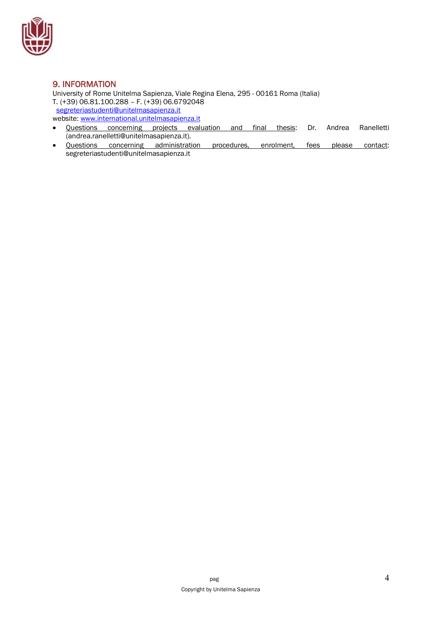

## 9. INFORMATION

University of Rome Unitelma Sapienza, Viale Regina Elena, 295 - 00161 Roma (Italia) T. (+39) 06.81.100.288 – F. (+39) 06.6792048 segreteriastudenti@unitelmasapienza.it website: www.international.unitelmasapienza.it

- Questions concerning projects evaluation and final thesis: Dr. Andrea Ranelletti (andrea.ranelletti@unitelmasapienza.it).
- Questions concerning administration procedures, enrolment, fees please contact: segreteriastudenti@unitelmasapienza.it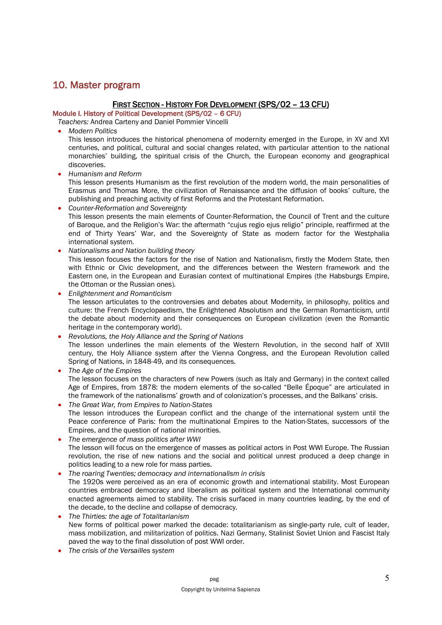## 10. Master program

## FIRST SECTION - HISTORY FOR DEVELOPMENT (SPS/02 – 13 CFU)

Module I. History of Political Development (SPS/02 – 6 CFU)

*Teachers:* Andrea Carteny and Daniel Pommier Vincelli

• *Modern Politics*

This lesson introduces the historical phenomena of modernity emerged in the Europe, in XV and XVI centuries, and political, cultural and social changes related, with particular attention to the national monarchies' building, the spiritual crisis of the Church, the European economy and geographical discoveries.

• *Humanism and Reform*

This lesson presents Humanism as the first revolution of the modern world, the main personalities of Erasmus and Thomas More, the civilization of Renaissance and the diffusion of books' culture, the publishing and preaching activity of first Reforms and the Protestant Reformation.

- *Counter-Reformation and Sovereignty* This lesson presents the main elements of Counter-Reformation, the Council of Trent and the culture of Baroque, and the Religion's War: the aftermath "cujus regio ejus religio" principle, reaffirmed at the end of Thirty Years' War, and the Sovereignty of State as modern factor for the Westphalia international system.
- *Nationalisms and Nation building theory* This lesson focuses the factors for the rise of Nation and Nationalism, firstly the Modern State, then with Ethnic or Civic development, and the differences between the Western framework and the Eastern one, in the European and Eurasian context of multinational Empires (the Habsburgs Empire, the Ottoman or the Russian ones).
- *Enlightenment and Romanticism* The lesson articulates to the controversies and debates about Modernity, in philosophy, politics and culture: the French Encyclopaedism, the Enlightened Absolutism and the German Romanticism, until the debate about modernity and their consequences on European civilization (even the Romantic heritage in the contemporary world).
- *Revolutions, the Holy Alliance and the Spring of Nations* The lesson underlines the main elements of the Western Revolution, in the second half of XVIII century, the Holy Alliance system after the Vienna Congress, and the European Revolution called Spring of Nations, in 1848-49, and its consequences.
- *The Age of the Empires* The lesson focuses on the characters of new Powers (such as Italy and Germany) in the context called Age of Empires, from 1878: the modern elements of the so-called "Belle Époque" are articulated in the framework of the nationalisms' growth and of colonization's processes, and the Balkans' crisis.
- *The Great War, from Empires to Nation-States* The lesson introduces the European conflict and the change of the international system until the Peace conference of Paris: from the multinational Empires to the Nation-States, successors of the Empires, and the question of national minorities.
- *The emergence of mass politics after WWI* The lesson will focus on the emergence of masses as political actors in Post WWI Europe. The Russian revolution, the rise of new nations and the social and political unrest produced a deep change in politics leading to a new role for mass parties.
- *The roaring Twenties; democracy and internationalism in crisis* The 1920s were perceived as an era of economic growth and international stability. Most European countries embraced democracy and liberalism as political system and the International community enacted agreements aimed to stability. The crisis surfaced in many countries leading, by the end of the decade, to the decline and collapse of democracy.
- *The Thirties: the age of Totalitarianism* New forms of political power marked the decade: totalitarianism as single-party rule, cult of leader, mass mobilization, and militarization of politics. Nazi Germany, Stalinist Soviet Union and Fascist Italy paved the way to the final dissolution of post WWI order.
- *The crisis of the Versailles system*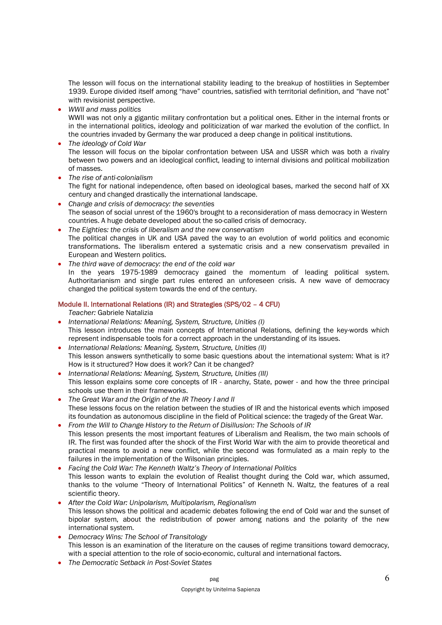The lesson will focus on the international stability leading to the breakup of hostilities in September 1939. Europe divided itself among "have" countries, satisfied with territorial definition, and "have not" with revisionist perspective.

• *WWII and mass politics*

WWII was not only a gigantic military confrontation but a political ones. Either in the internal fronts or in the international politics, ideology and politicization of war marked the evolution of the conflict. In the countries invaded by Germany the war produced a deep change in political institutions.

- *The ideology of Cold War* The lesson will focus on the bipolar confrontation between USA and USSR which was both a rivalry between two powers and an ideological conflict, leading to internal divisions and political mobilization of masses.
- *The rise of anti-colonialism*

The fight for national independence, often based on ideological bases, marked the second half of XX century and changed drastically the international landscape.

- *Change and crisis of democracy: the seventies* The season of social unrest of the 1960's brought to a reconsideration of mass democracy in Western countries. A huge debate developed about the so-called crisis of democracy.
- *The Eighties: the crisis of liberalism and the new conservatism* The political changes in UK and USA paved the way to an evolution of world politics and economic transformations. The liberalism entered a systematic crisis and a new conservatism prevailed in European and Western politics.
- *The third wave of democracy: the end of the cold war* In the years 1975-1989 democracy gained the momentum of leading political system. Authoritarianism and single part rules entered an unforeseen crisis. A new wave of democracy changed the political system towards the end of the century.

#### Module II. International Relations (IR) and Strategies (SPS/02 – 4 CFU)

*Teacher:* Gabriele Natalizia

- *International Relations: Meaning, System, Structure, Unities (I)* This lesson introduces the main concepts of International Relations, defining the key-words which represent indispensable tools for a correct approach in the understanding of its issues.
- *International Relations: Meaning, System, Structure, Unities (II)* This lesson answers synthetically to some basic questions about the international system: What is it? How is it structured? How does it work? Can it be changed?
- *International Relations: Meaning, System, Structure, Unities (III)* This lesson explains some core concepts of IR - anarchy, State, power - and how the three principal schools use them in their frameworks.
- *The Great War and the Origin of the IR Theory I and II* These lessons focus on the relation between the studies of IR and the historical events which imposed its foundation as autonomous discipline in the field of Political science: the tragedy of the Great War.
- *From the Will to Change History to the Return of Disillusion: The Schools of IR* This lesson presents the most important features of Liberalism and Realism, the two main schools of IR. The first was founded after the shock of the First World War with the aim to provide theoretical and practical means to avoid a new conflict, while the second was formulated as a main reply to the failures in the implementation of the Wilsonian principles.
- *Facing the Cold War: The Kenneth Waltz's Theory of International Politics* This lesson wants to explain the evolution of Realist thought during the Cold war, which assumed, thanks to the volume "Theory of International Politics" of Kenneth N. Waltz, the features of a real scientific theory.
- *After the Cold War: Unipolarism, Multipolarism, Regionalism* This lesson shows the political and academic debates following the end of Cold war and the sunset of bipolar system, about the redistribution of power among nations and the polarity of the new international system.
- *Democracy Wins: The School of Transitology* This lesson is an examination of the literature on the causes of regime transitions toward democracy, with a special attention to the role of socio-economic, cultural and international factors.
- *The Democratic Setback in Post-Soviet States*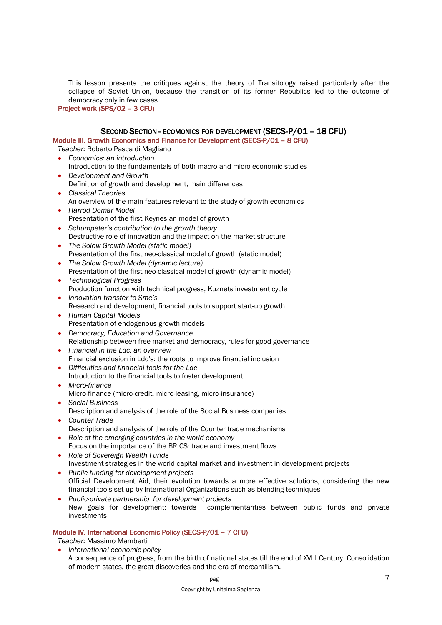This lesson presents the critiques against the theory of Transitology raised particularly after the collapse of Soviet Union, because the transition of its former Republics led to the outcome of democracy only in few cases.

Project work (SPS/02 – 3 CFU)

#### SECOND SECTION - ECOMONICS FOR DEVELOPMENT (SECS-P/01 – 18 CFU)

Module III. Growth Economics and Finance for Development (SECS-P/01 – 8 CFU)

*Teacher:* Roberto Pasca di Magliano

- *Economics: an introduction* Introduction to the fundamentals of both macro and micro economic studies
- *Development and Growth* Definition of growth and development, main differences
- *Classical Theories* An overview of the main features relevant to the study of growth economics
- *Harrod Domar Model* Presentation of the first Keynesian model of growth
- *Schumpeter's contribution to the growth theory* Destructive role of innovation and the impact on the market structure
- *The Solow Growth Model (static model)* Presentation of the first neo-classical model of growth (static model)
- *The Solow Growth Model (dynamic lecture)* Presentation of the first neo-classical model of growth (dynamic model)
- *Technological Progress* Production function with technical progress, Kuznets investment cycle
- *Innovation transfer to Sme's* Research and development, financial tools to support start-up growth
- *Human Capital Models* Presentation of endogenous growth models
- *Democracy, Education and Governance* Relationship between free market and democracy, rules for good governance
- *Financial in the Ldc: an overview* Financial exclusion in Ldc's: the roots to improve financial inclusion
- *Difficulties and financial tools for the Ldc* Introduction to the financial tools to foster development
- *Micro-finance* Micro-finance (micro-credit, micro-leasing, micro-insurance)
- *Social Business* Description and analysis of the role of the Social Business companies
- *Counter Trade* Description and analysis of the role of the Counter trade mechanisms
- *Role of the emerging countries in the world economy* Focus on the importance of the BRICS: trade and investment flows
- *Role of Sovereign Wealth Funds* Investment strategies in the world capital market and investment in development projects
- *Public funding for development projects* Official Development Aid, their evolution towards a more effective solutions, considering the new financial tools set up by International Organizations such as blending techniques
- *Public-private partnership for development projects* New goals for development: towards complementarities between public funds and private investments

## Module IV. International Economic Policy (SECS-P/01 – 7 CFU)

*Teacher:* Massimo Mamberti

• *International economic policy* A consequence of progress, from the birth of national states till the end of XVIII Century. Consolidation of modern states, the great discoveries and the era of mercantilism.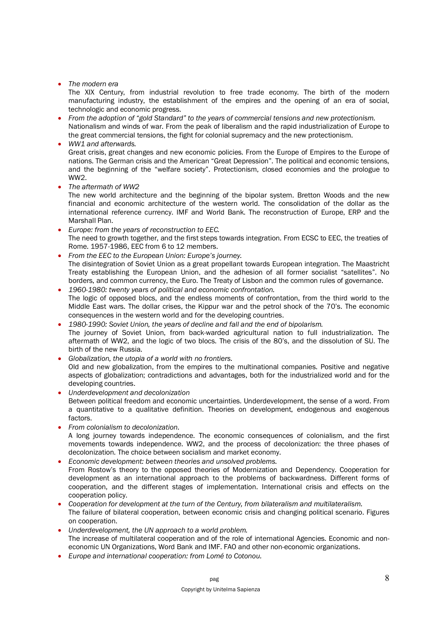• *The modern era*

The XIX Century, from industrial revolution to free trade economy. The birth of the modern manufacturing industry, the establishment of the empires and the opening of an era of social, technologic and economic progress.

- *From the adoption of "gold Standard" to the years of commercial tensions and new protectionism.* Nationalism and winds of war. From the peak of liberalism and the rapid industrialization of Europe to the great commercial tensions, the fight for colonial supremacy and the new protectionism.
	- *WW1 and afterwards.* Great crisis, great changes and new economic policies. From the Europe of Empires to the Europe of nations. The German crisis and the American "Great Depression". The political and economic tensions, and the beginning of the "welfare society". Protectionism, closed economies and the prologue to WW2.
- *The aftermath of WW2*

The new world architecture and the beginning of the bipolar system. Bretton Woods and the new financial and economic architecture of the western world. The consolidation of the dollar as the international reference currency. IMF and World Bank. The reconstruction of Europe, ERP and the Marshall Plan.

- *Europe: from the years of reconstruction to EEC.* The need to growth together, and the first steps towards integration. From ECSC to EEC, the treaties of Rome. 1957-1986, EEC from 6 to 12 members.
- *From the EEC to the European Union: Europe's journey.* The disintegration of Soviet Union as a great propellant towards European integration. The Maastricht Treaty establishing the European Union, and the adhesion of all former socialist "satellites". No borders, and common currency, the Euro. The Treaty of Lisbon and the common rules of governance.
- *1960-1980: twenty years of political and economic confrontation.* The logic of opposed blocs, and the endless moments of confrontation, from the third world to the Middle East wars. The dollar crises, the Kippur war and the petrol shock of the 70's. The economic consequences in the western world and for the developing countries.
- *1980-1990: Soviet Union, the years of decline and fall and the end of bipolarism.* The journey of Soviet Union, from back-warded agricultural nation to full industrialization. The aftermath of WW2, and the logic of two blocs. The crisis of the 80's, and the dissolution of SU. The birth of the new Russia.
- *Globalization, the utopia of a world with no frontiers.* Old and new globalization, from the empires to the multinational companies. Positive and negative
- aspects of globalization; contradictions and advantages, both for the industrialized world and for the developing countries.
- *Underdevelopment and decolonization* Between political freedom and economic uncertainties. Underdevelopment, the sense of a word. From a quantitative to a qualitative definition. Theories on development, endogenous and exogenous factors.
- *From colonialism to decolonization.* A long journey towards independence. The economic consequences of colonialism, and the first movements towards independence. WW2, and the process of decolonization: the three phases of decolonization. The choice between socialism and market economy.
- *Economic development: between theories and unsolved problems.* From Rostow's theory to the opposed theories of Modernization and Dependency. Cooperation for development as an international approach to the problems of backwardness. Different forms of cooperation, and the different stages of implementation. International crisis and effects on the cooperation policy.
- *Cooperation for development at the turn of the Century, from bilateralism and multilateralism.* The failure of bilateral cooperation, between economic crisis and changing political scenario. Figures on cooperation.
- *Underdevelopment, the UN approach to a world problem.* The increase of multilateral cooperation and of the role of international Agencies. Economic and noneconomic UN Organizations, Word Bank and IMF. FAO and other non-economic organizations.
- *Europe and international cooperation: from Lomé to Cotonou.*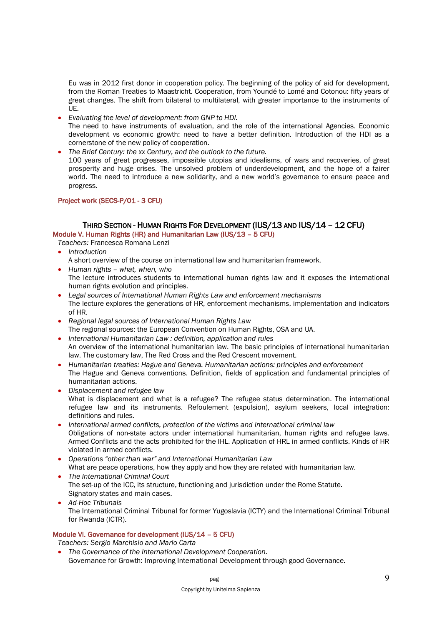Eu was in 2012 first donor in cooperation policy. The beginning of the policy of aid for development, from the Roman Treaties to Maastricht. Cooperation, from Youndé to Lomé and Cotonou: fifty years of great changes. The shift from bilateral to multilateral, with greater importance to the instruments of UE.

- *Evaluating the level of development: from GNP to HDI.* The need to have instruments of evaluation, and the role of the international Agencies. Economic development vs economic growth: need to have a better definition. Introduction of the HDI as a cornerstone of the new policy of cooperation.
- *The Brief Century: the xx Century, and the outlook to the future.* 100 years of great progresses, impossible utopias and idealisms, of wars and recoveries, of great prosperity and huge crises. The unsolved problem of underdevelopment, and the hope of a fairer world. The need to introduce a new solidarity, and a new world's governance to ensure peace and progress.

#### Project work (SECS-P/01 - 3 CFU)

## THIRD SECTION - HUMAN RIGHTS FOR DEVELOPMENT (IUS/13 AND IUS/14 – 12 CFU)

Module V. Human Rights (HR) and Humanitarian Law (IUS/13 – 5 CFU)

*Teachers:* Francesca Romana Lenzi

- *Introduction*
- A short overview of the course on international law and humanitarian framework.
- *Human rights what, when, who* The lecture introduces students to international human rights law and it exposes the international human rights evolution and principles.
- *Legal sources of International Human Rights Law and enforcement mechanisms* The lecture explores the generations of HR, enforcement mechanisms, implementation and indicators of HR.
- *Regional legal sources of International Human Rights Law* The regional sources: the European Convention on Human Rights, OSA and UA.
- *International Humanitarian Law : definition, application and rules* An overview of the international humanitarian law. The basic principles of international humanitarian law. The customary law, The Red Cross and the Red Crescent movement.
- *Humanitarian treaties: Hague and Geneva. Humanitarian actions: principles and enforcement* The Hague and Geneva conventions. Definition, fields of application and fundamental principles of humanitarian actions.
- *Displacement and refugee law* What is displacement and what is a refugee? The refugee status determination. The international refugee law and its instruments. Refoulement (expulsion), asylum seekers, local integration: definitions and rules.
- *International armed conflicts, protection of the victims and International criminal law* Obligations of non-state actors under international humanitarian, human rights and refugee laws. Armed Conflicts and the acts prohibited for the IHL. Application of HRL in armed conflicts. Kinds of HR violated in armed conflicts.
- *Operations "other than war" and International Humanitarian Law* What are peace operations, how they apply and how they are related with humanitarian law.
- *The International Criminal Court* The set-up of the ICC, its structure, functioning and jurisdiction under the Rome Statute. Signatory states and main cases.
- *Ad-Hoc Tribunals* The International Criminal Tribunal for former Yugoslavia (ICTY) and the International Criminal Tribunal for Rwanda (ICTR).

## Module VI. Governance for development (IUS/14 – 5 CFU)

*Teachers: Sergio Marchisio and Mario Carta*

• *The Governance of the International Development Cooperation.* Governance for Growth: Improving International Development through good Governance.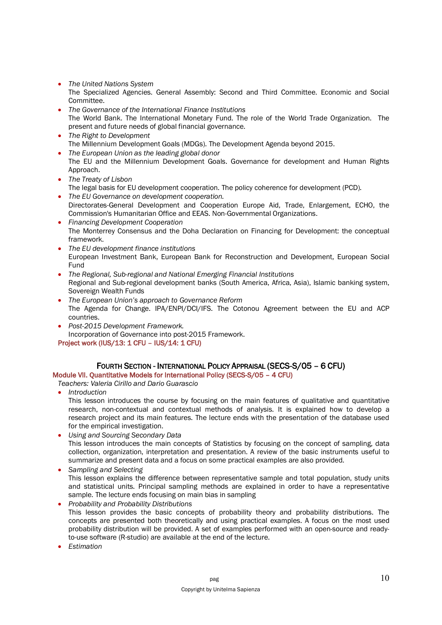- *The United Nations System* The Specialized Agencies. General Assembly: Second and Third Committee. Economic and Social Committee.
- *The Governance of the International Finance Institutions* The World Bank. The International Monetary Fund. The role of the World Trade Organization. The present and future needs of global financial governance.
- *The Right to Development* The Millennium Development Goals (MDGs). The Development Agenda beyond 2015.
- *The European Union as the leading global donor* The EU and the Millennium Development Goals. Governance for development and Human Rights Approach.
- *The Treaty of Lisbon* The legal basis for EU development cooperation. The policy coherence for development (PCD).
- *The EU Governance on development cooperation.* Directorates-General Development and Cooperation Europe Aid, Trade, Enlargement, ECHO, the Commission's Humanitarian Office and EEAS. Non-Governmental Organizations.
- *Financing Development Cooperation* The Monterrey Consensus and the Doha Declaration on Financing for Development: the conceptual framework.
- *The EU development finance institutions* European Investment Bank, European Bank for Reconstruction and Development, European Social Fund
- *The Regional, Sub-regional and National Emerging Financial Institutions* Regional and Sub-regional development banks (South America, Africa, Asia), Islamic banking system, Sovereign Wealth Funds
- *The European Union's approach to Governance Reform* The Agenda for Change. IPA/ENPI/DCI/IFS. The Cotonou Agreement between the EU and ACP countries.
- *Post-2015 Development Framework.* Incorporation of Governance into post-2015 Framework. Project work (IUS/13: 1 CFU – IUS/14: 1 CFU)

## FOURTH SECTION - INTERNATIONAL POLICY APPRAISAL (SECS-S/05 – 6 CFU)

Module VII. Quantitative Models for International Policy (SECS-S/05 – 4 CFU)

*Teachers: Valeria Cirillo and Dario Guarascio*

• *Introduction*

This lesson introduces the course by focusing on the main features of qualitative and quantitative research, non-contextual and contextual methods of analysis. It is explained how to develop a research project and its main features. The lecture ends with the presentation of the database used for the empirical investigation.

- *Using and Sourcing Secondary Data* This lesson introduces the main concepts of Statistics by focusing on the concept of sampling, data collection, organization, interpretation and presentation. A review of the basic instruments useful to summarize and present data and a focus on some practical examples are also provided.
- *Sampling and Selecting* This lesson explains the difference between representative sample and total population, study units and statistical units. Principal sampling methods are explained in order to have a representative sample. The lecture ends focusing on main bias in sampling
- *Probability and Probability Distributions* This lesson provides the basic concepts of probability theory and probability distributions. The concepts are presented both theoretically and using practical examples. A focus on the most used probability distribution will be provided. A set of examples performed with an open-source and readyto-use software (R-studio) are available at the end of the lecture.
- *Estimation*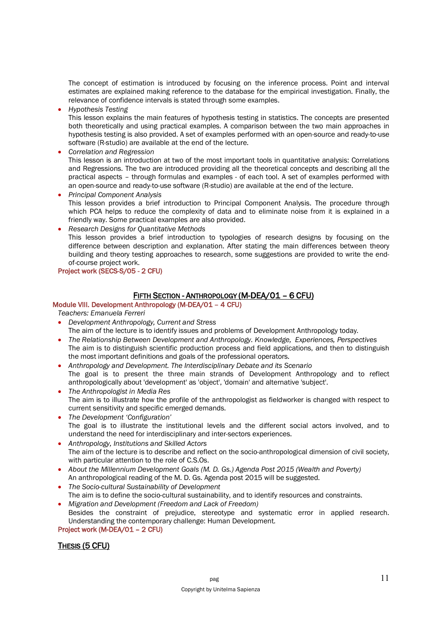The concept of estimation is introduced by focusing on the inference process. Point and interval estimates are explained making reference to the database for the empirical investigation. Finally, the relevance of confidence intervals is stated through some examples.

• *Hypothesis Testing*

This lesson explains the main features of hypothesis testing in statistics. The concepts are presented both theoretically and using practical examples. A comparison between the two main approaches in hypothesis testing is also provided. A set of examples performed with an open-source and ready-to-use software (R-studio) are available at the end of the lecture.

• *Correlation and Regression*

This lesson is an introduction at two of the most important tools in quantitative analysis: Correlations and Regressions. The two are introduced providing all the theoretical concepts and describing all the practical aspects – through formulas and examples - of each tool. A set of examples performed with an open-source and ready-to-use software (R-studio) are available at the end of the lecture.

- *Principal Component Analysis* This lesson provides a brief introduction to Principal Component Analysis. The procedure through which PCA helps to reduce the complexity of data and to eliminate noise from it is explained in a friendly way. Some practical examples are also provided.
- *Research Designs for Quantitative Methods* This lesson provides a brief introduction to typologies of research designs by focusing on the difference between description and explanation. After stating the main differences between theory building and theory testing approaches to research, some suggestions are provided to write the endof-course project work.

## Project work (SECS-S/05 - 2 CFU)

## FIFTH SECTION - ANTHROPOLOGY (M-DEA/01 – 6 CFU)

## Module VIII. Development Anthropology (M-DEA/01 – 4 CFU)

*Teachers: Emanuela Ferreri*

- *Development Anthropology, Current and Stress* The aim of the lecture is to identify issues and problems of Development Anthropology today.
- *The Relationship Between Development and Anthropology. Knowledge, Experiences, Perspectives* The aim is to distinguish scientific production process and field applications, and then to distinguish the most important definitions and goals of the professional operators.
- *Anthropology and Development. The Interdisciplinary Debate and its Scenario* The goal is to present the three main strands of Development Anthropology and to reflect anthropologically about 'development' as 'object', 'domain' and alternative 'subject'.
- *The Anthropologist in Media Res* The aim is to illustrate how the profile of the anthropologist as fieldworker is changed with respect to current sensitivity and specific emerged demands.
- *The Development 'Configuration'* The goal is to illustrate the institutional levels and the different social actors involved, and to understand the need for interdisciplinary and inter-sectors experiences.
- *Anthropology, Institutions and Skilled Actors* The aim of the lecture is to describe and reflect on the socio-anthropological dimension of civil society, with particular attention to the role of C.S.Os.
- *About the Millennium Development Goals (M. D. Gs.) Agenda Post 2015 (Wealth and Poverty)* An anthropological reading of the M. D. Gs. Agenda post 2015 will be suggested.
- *The Socio-cultural Sustainability of Development* The aim is to define the socio-cultural sustainability, and to identify resources and constraints.
- *Migration and Development (Freedom and Lack of Freedom)* Besides the constraint of prejudice, stereotype and systematic error in applied research. Understanding the contemporary challenge: Human Development.

## Project work (M-DEA/01 – 2 CFU)

## THESIS (5 CFU)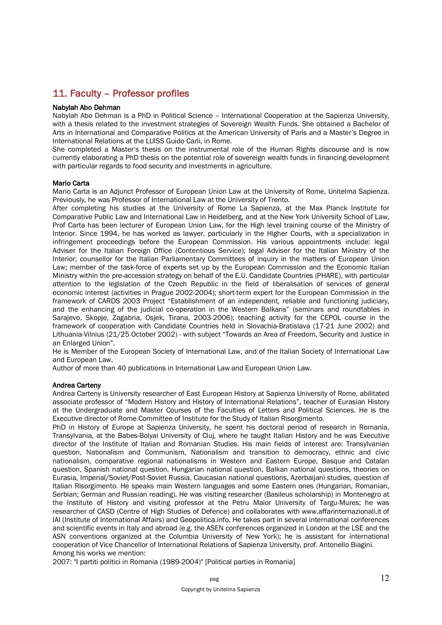# 11. Faculty – Professor profiles

#### Nabylah Abo Dehman

Nabylah Abo Dehman is a PhD in Political Science – International Cooperation at the Sapienza University, with a thesis related to the investment strategies of Sovereign Wealth Funds. She obtained a Bachelor of Arts in International and Comparative Politics at the American University of Paris and a Master's Degree in International Relations at the LUISS Guido Carli, in Rome.

She completed a Master's thesis on the instrumental role of the Human Rights discourse and is now currently elaborating a PhD thesis on the potential role of sovereign wealth funds in financing development with particular regards to food security and investments in agriculture.

#### Mario Carta

Mario Carta is an Adjunct Professor of European Union Law at the University of Rome, Unitelma Sapienza. Previously, he was Professor of International Law at the University of Trento.

After completing his studies at the University of Rome La Sapienza, at the Max Planck Institute for Comparative Public Law and International Law in Heidelberg, and at the New York University School of Law, Prof Carta has been lecturer of European Union Law, for the High level training course of the Ministry of Interior. Since 1994, he has worked as lawyer, particularly in the Higher Courts, with a specialization in infringement proceedings before the European Commission. His various appointments include: legal Adviser for the Italian Foreign Office (Contentious Service); legal Adviser for the Italian Ministry of the Interior; counsellor for the Italian Parliamentary Committees of inquiry in the matters of European Union Law; member of the task-force of experts set up by the European Commission and the Economic Italian Ministry within the pre-accession strategy on behalf of the E.U. Candidate Countries (PHARE), with particular attention to the legislation of the Czech Republic in the field of liberalisation of services of general economic interest (activities in Prague 2002-2004); short-term expert for the European Commission in the framework of CARDS 2003 Project "Establishment of an independent, reliable and functioning judiciary, and the enhancing of the judicial co-operation in the Western Balkans" (seminars and roundtables in Sarajevo, Skopje, Zagabria, Osjek, Tirana, 2003-2006); teaching activity for the CEPOL course in the framework of cooperation with Candidate Countries held in Slovachia-Bratislava (17-21 June 2002) and Lithuania-Vilnius (21/25 October 2002) - with subject "Towards an Area of Freedom, Security and Justice in an Enlarged Union".

He is Member of the European Society of International Law, and of the Italian Society of International Law and European Law.

Author of more than 40 publications in International Law and European Union Law.

#### Andrea Carteny

Andrea Carteny is University researcher of East European History at Sapienza University of Rome, abilitated associate professor of "Modern History and History of International Relations", teacher of Eurasian History at the Undergraduate and Master Courses of the Faculties of Letters and Political Sciences. He is the Executive director of Rome Committee of Institute for the Study of Italian Risorgimento.

PhD in History of Europe at Sapienza University, he spent his doctoral period of research in Romania, Transylvania, at the Babes-Bolyai University of Cluj, where he taught Italian History and he was Executive director of the Institute of Italian and Romanian Studies. His main fields of interest are: Transylvanian question, Nationalism and Communism, Nationalism and transition to democracy, ethnic and civic nationalism, comparative regional nationalisms in Western and Eastern Europe, Basque and Catalan question, Spanish national question, Hungarian national question, Balkan national questions, theories on Eurasia, Imperial/Soviet/Post-Soviet Russia, Caucasian national questions, Azerbaijani studies, question of Italian Risorgimento. He speaks main Western languages and some Eastern ones (Hungarian, Romanian, Serbian; German and Russian reading). He was visiting researcher (Basileus scholarship) in Montenegro at the Institute of History and visiting professor at the Petru Maior University of Targu-Mures; he was researcher of CASD (Centre of High Studies of Defence) and collaborates with www.affarinternazionali.it of IAI (Institute of International Affairs) and Geopolitica.info. He takes part in several international conferences and scientific events in Italy and abroad (e.g. the ASEN conferences organized in London at the LSE and the ASN conventions organized at the Columbia University of New York); he is assistant for international cooperation of Vice Chancellor of International Relations of Sapienza University, prof. Antonello Biagini. Among his works we mention:

2007: "I partiti politici in Romania (1989-2004)" [Political parties in Romania]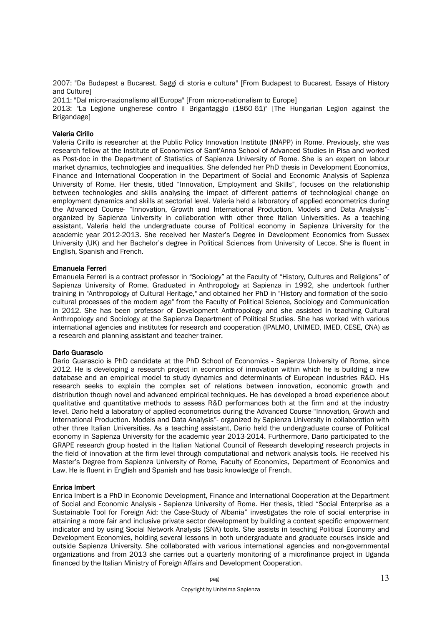2007: "Da Budapest a Bucarest. Saggi di storia e cultura" [From Budapest to Bucarest. Essays of History and Culture]

2011: "Dal micro-nazionalismo all'Europa" [From micro-nationalism to Europe]

2013: "La Legione ungherese contro il Brigantaggio (1860-61)" [The Hungarian Legion against the **Brigandage1** 

#### Valeria Cirillo

Valeria Cirillo is researcher at the Public Policy Innovation Institute (INAPP) in Rome. Previously, she was research fellow at the Institute of Economics of Sant'Anna School of Advanced Studies in Pisa and worked as Post-doc in the Department of Statistics of Sapienza University of Rome. She is an expert on labour market dynamics, technologies and inequalities. She defended her PhD thesis in Development Economics, Finance and International Cooperation in the Department of Social and Economic Analysis of Sapienza University of Rome. Her thesis, titled "Innovation, Employment and Skills", focuses on the relationship between technologies and skills analysing the impact of different patterns of technological change on employment dynamics and skills at sectorial level. Valeria held a laboratory of applied econometrics during the Advanced Course- "Innovation, Growth and International Production. Models and Data Analysis" organized by Sapienza University in collaboration with other three Italian Universities. As a teaching assistant, Valeria held the undergraduate course of Political economy in Sapienza University for the academic year 2012-2013. She received her Master's Degree in Development Economics from Sussex University (UK) and her Bachelor's degree in Political Sciences from University of Lecce. She is fluent in English, Spanish and French.

#### Emanuela Ferreri

Emanuela Ferreri is a contract professor in "Sociology" at the Faculty of "History, Cultures and Religions" of Sapienza University of Rome. Graduated in Anthropology at Sapienza in 1992, she undertook further training in "Anthropology of Cultural Heritage," and obtained her PhD in "History and formation of the sociocultural processes of the modern age" from the Faculty of Political Science, Sociology and Communication in 2012. She has been professor of Development Anthropology and she assisted in teaching Cultural Anthropology and Sociology at the Sapienza Department of Political Studies. She has worked with various international agencies and institutes for research and cooperation (IPALMO, UNIMED, IMED, CESE, CNA) as a research and planning assistant and teacher-trainer.

#### Dario Guarascio

Dario Guarascio is PhD candidate at the PhD School of Economics - Sapienza University of Rome, since 2012. He is developing a research project in economics of innovation within which he is building a new database and an empirical model to study dynamics and determinants of European industries R&D. His research seeks to explain the complex set of relations between innovation, economic growth and distribution though novel and advanced empirical techniques. He has developed a broad experience about qualitative and quantitative methods to assess R&D performances both at the firm and at the industry level. Dario held a laboratory of applied econometrics during the Advanced Course-"Innovation, Growth and International Production. Models and Data Analysis"- organized by Sapienza University in collaboration with other three Italian Universities. As a teaching assistant, Dario held the undergraduate course of Political economy in Sapienza University for the academic year 2013-2014. Furthermore, Dario participated to the GRAPE research group hosted in the Italian National Council of Research developing research projects in the field of innovation at the firm level through computational and network analysis tools. He received his Master's Degree from Sapienza University of Rome, Faculty of Economics, Department of Economics and Law. He is fluent in English and Spanish and has basic knowledge of French.

#### Enrica Imbert

Enrica Imbert is a PhD in Economic Development, Finance and International Cooperation at the Department of Social and Economic Analysis - Sapienza University of Rome. Her thesis, titled "Social Enterprise as a Sustainable Tool for Foreign Aid: the Case-Study of Albania" investigates the role of social enterprise in attaining a more fair and inclusive private sector development by building a context specific empowerment indicator and by using Social Network Analysis (SNA) tools. She assists in teaching Political Economy and Development Economics, holding several lessons in both undergraduate and graduate courses inside and outside Sapienza University. She collaborated with various international agencies and non-governmental organizations and from 2013 she carries out a quarterly monitoring of a microfinance project in Uganda financed by the Italian Ministry of Foreign Affairs and Development Cooperation.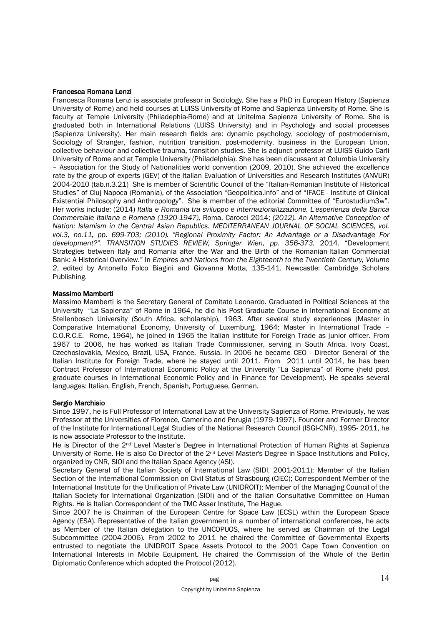#### Francesca Romana Lenzi

Francesca Romana Lenzi is associate professor in Sociology. She has a PhD in European History (Sapienza University of Rome) and held courses at LUISS University of Rome and Sapienza University of Rome. She is faculty at Temple University (Philadephia-Rome) and at Unitelma Sapienza University of Rome. She is graduated both in International Relations (LUISS University) and in Psychology and social processes (Sapienza University). Her main research fields are: dynamic psychology, sociology of postmodernism, Sociology of Stranger, fashion, nutrition transition, post-modernity, business in the European Union, collective behaviour and collective trauma, transition studies. She is adjunct professor at LUISS Guido Carli University of Rome and at Temple University (Philadelphia). She has been discussant at Columbia University – Association for the Study of Nationalities world convention (2009, 2010). She achieved the excellence rate by the group of experts (GEV) of the Italian Evaluation of Universities and Research Institutes (ANVUR) 2004-2010 (tab.n.3.21) She is member of Scientific Council of the "Italian-Romanian Institute of Historical Studies" of Cluj Napoca (Romania), of the Association "Geopolitica.info" and of "IFACE - Institute of Clinical Existential Philosophy and Anthropology". She is member of the editorial Committee of "Eurostudium3w". Her works include: (2014) *Italia e Romania tra sviluppo e internazionalizzazione. L'esperienza della Banca Commerciale Italiana e Romena (1920-1947),* Roma, Carocci 2014; *(2012). An Alternative Conception of Nation: Islamism in the Central Asian Republics. MEDITERRANEAN JOURNAL OF SOCIAL SCIENCES, vol. vol.3, no.11, pp. 699-703; (2010). "Regional Proximity Factor: An Advantage or a Disadvantage For development?". TRANSITION STUDIES REVIEW, Springer Wien, pp. 356-373.* 2014. "Development Strategies between Italy and Romania after the War and the Birth of the Romanian-Italian Commercial Bank: A Historical Overview." In *Empires and Nations from the Eighteenth to the Twentieth Century, Volume 2*, edited by Antonello Folco Biagini and Giovanna Motta, 135-141. Newcastle: Cambridge Scholars Publishing.

#### Massimo Mamberti

Massimo Mamberti is the Secretary General of Comitato Leonardo. Graduated in Political Sciences at the University "La Sapienza" of Rome in 1964, he did his Post Graduate Course in International Economy at Stellenbosch University (South Africa, scholarship), 1963. After several study experiences (Master in Comparative International Economy, University of Luxemburg, 1964; Master in International Trade – C.O.R.C.E. Rome, 1964), he joined in 1965 the Italian Institute for Foreign Trade as junior officer. From 1967 to 2006, he has worked as Italian Trade Commissioner, serving in South Africa, Ivory Coast, Czechoslovakia, Mexico, Brazil, USA, France, Russia. In 2006 he became CEO - Director General of the Italian Institute for Foreign Trade, where he stayed until 2011. From 2011 until 2014, he has been Contract Professor of International Economic Policy at the University "La Sapienza" of Rome (held post graduate courses in International Economic Policy and in Finance for Development). He speaks several languages: Italian, English, French, Spanish, Portuguese, German.

#### Sergio Marchisio

Since 1997, he is Full Professor of International Law at the University Sapienza of Rome. Previously, he was Professor at the Universities of Florence, Camerino and Perugia (1979-1997). Founder and Former Director of the Institute for International Legal Studies of the National Research Council (ISGI-CNR), 1995- 2011, he is now associate Professor to the Institute.

He is Director of the 2<sup>nd</sup> Level Master's Degree in International Protection of Human Rights at Sapienza University of Rome. He is also Co-Director of the 2<sup>nd</sup> Level Master's Degree in Space Institutions and Policy. organized by CNR, SIOI and the Italian Space Agency (ASI).

Secretary General of the Italian Society of International Law (SIDI. 2001-2011); Member of the Italian Section of the International Commission on Civil Status of Strasbourg (CIEC); Correspondent Member of the International Institute for the Unification of Private Law (UNIDROIT); Member of the Managing Council of the Italian Society for International Organization (SIOI) and of the Italian Consultative Committee on Human Rights. He is Italian Correspondent of the TMC Asser Institute, The Hague.

Since 2007 he is Chairman of the European Centre for Space Law (ECSL) within the European Space Agency (ESA). Representative of the Italian government in a number of international conferences, he acts as Member of the Italian delegation to the UNCOPUOS, where he served as Chairman of the Legal Subcommittee (2004-2006). From 2002 to 2011 he chaired the Committee of Governmental Experts entrusted to negotiate the UNIDROIT Space Assets Protocol to the 2001 Cape Town Convention on International Interests in Mobile Equipment. He chaired the Commission of the Whole of the Berlin Diplomatic Conference which adopted the Protocol (2012).